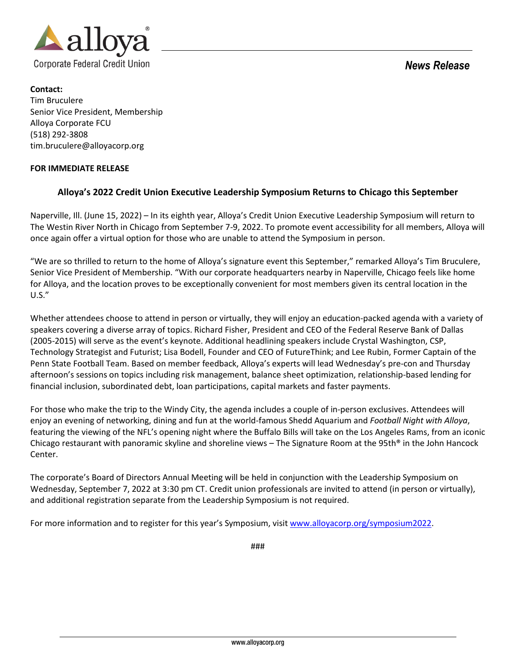

*News Release*

## **Contact:**

Tim Bruculere Senior Vice President, Membership Alloya Corporate FCU (518) 292-3808 tim.bruculere@alloyacorp.org

## **FOR IMMEDIATE RELEASE**

## **Alloya's 2022 Credit Union Executive Leadership Symposium Returns to Chicago this September**

Naperville, Ill. (June 15, 2022) – In its eighth year, Alloya's Credit Union Executive Leadership Symposium will return to The Westin River North in Chicago from September 7-9, 2022. To promote event accessibility for all members, Alloya will once again offer a virtual option for those who are unable to attend the Symposium in person.

"We are so thrilled to return to the home of Alloya's signature event this September," remarked Alloya's Tim Bruculere, Senior Vice President of Membership. "With our corporate headquarters nearby in Naperville, Chicago feels like home for Alloya, and the location proves to be exceptionally convenient for most members given its central location in the U.S."

Whether attendees choose to attend in person or virtually, they will enjoy an education-packed agenda with a variety of speakers covering a diverse array of topics. Richard Fisher, President and CEO of the Federal Reserve Bank of Dallas (2005-2015) will serve as the event's keynote. Additional headlining speakers include Crystal Washington, CSP, Technology Strategist and Futurist; Lisa Bodell, Founder and CEO of FutureThink; and Lee Rubin, Former Captain of the Penn State Football Team. Based on member feedback, Alloya's experts will lead Wednesday's pre-con and Thursday afternoon's sessions on topics including risk management, balance sheet optimization, relationship-based lending for financial inclusion, subordinated debt, loan participations, capital markets and faster payments.

For those who make the trip to the Windy City, the agenda includes a couple of in-person exclusives. Attendees will enjoy an evening of networking, dining and fun at the world-famous Shedd Aquarium and *Football Night with Alloya*, featuring the viewing of the NFL's opening night where the Buffalo Bills will take on the Los Angeles Rams, from an iconic Chicago restaurant with panoramic skyline and shoreline views – The Signature Room at the 95th® in the John Hancock Center.

The corporate's Board of Directors Annual Meeting will be held in conjunction with the Leadership Symposium on Wednesday, September 7, 2022 at 3:30 pm CT. Credit union professionals are invited to attend (in person or virtually), and additional registration separate from the Leadership Symposium is not required.

For more information and to register for this year's Symposium, visit [www.alloyacorp.org/symposium2022.](http://www.alloyacorp.org/symposium2022)

###